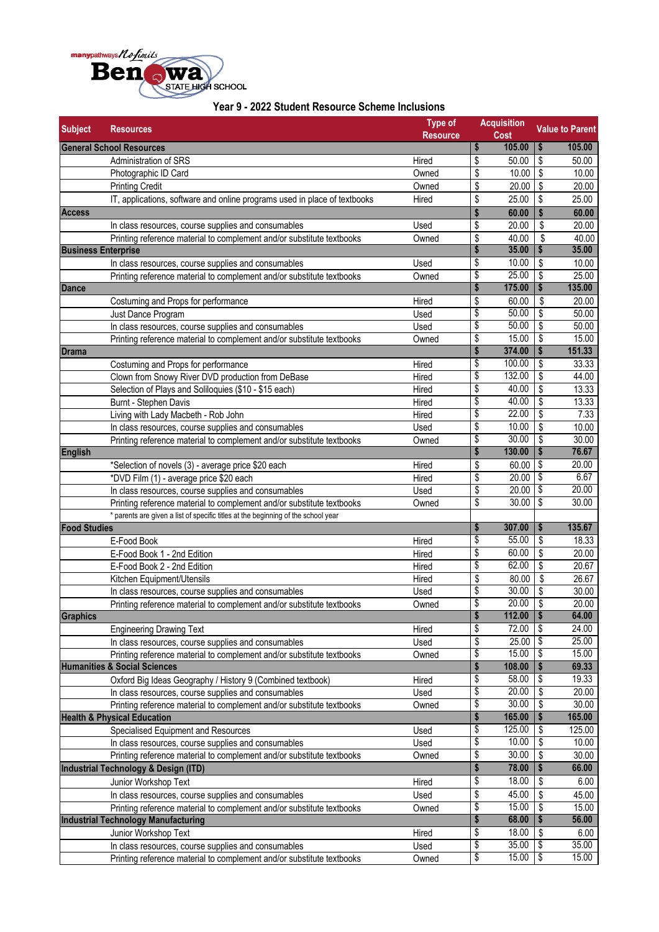

| <b>Subject</b>      | <b>Resources</b>                                                                                                             | <b>Type of</b><br><b>Resource</b> |                         | <b>Acquisition</b><br><b>Cost</b> |                                        | <b>Value to Parent</b> |
|---------------------|------------------------------------------------------------------------------------------------------------------------------|-----------------------------------|-------------------------|-----------------------------------|----------------------------------------|------------------------|
|                     | <b>General School Resources</b>                                                                                              |                                   | \$                      | 105.00                            | \$                                     | 105.00                 |
|                     | Administration of SRS                                                                                                        | Hired                             | \$                      | 50.00                             | \$                                     | 50.00                  |
|                     | Photographic ID Card                                                                                                         | Owned                             | \$                      | 10.00                             | $\sqrt{3}$                             | 10.00                  |
|                     | <b>Printing Credit</b>                                                                                                       | Owned                             | \$                      | 20.00                             | \$                                     | 20.00                  |
|                     | IT, applications, software and online programs used in place of textbooks                                                    | Hired                             | \$                      | 25.00                             | \$                                     | 25.00                  |
| <b>Access</b>       |                                                                                                                              |                                   | \$                      | 60.00                             | \$                                     | 60.00                  |
|                     | In class resources, course supplies and consumables                                                                          | Used                              | \$                      | 20.00                             | \$                                     | 20.00                  |
|                     | Printing reference material to complement and/or substitute textbooks                                                        | Owned                             | \$                      | 40.00                             | \$                                     | 40.00                  |
|                     | <b>Business Enterprise</b>                                                                                                   |                                   | \$                      | 35.00                             | \$                                     | 35.00                  |
|                     | In class resources, course supplies and consumables                                                                          | Used                              | \$                      | 10.00                             | \$                                     | 10.00                  |
|                     | Printing reference material to complement and/or substitute textbooks                                                        | Owned                             | \$                      | 25.00                             | \$                                     | 25.00                  |
| <b>Dance</b>        |                                                                                                                              |                                   | \$                      | 175.00                            | \$                                     | 135.00                 |
|                     | Costuming and Props for performance                                                                                          | Hired                             | \$                      | 60.00                             | \$                                     | 20.00                  |
|                     | Just Dance Program                                                                                                           | Used                              | \$                      | 50.00                             | \$                                     | 50.00                  |
|                     | In class resources, course supplies and consumables                                                                          | Used                              | $\overline{\mathsf{s}}$ | 50.00                             | \$                                     | 50.00                  |
|                     | Printing reference material to complement and/or substitute textbooks                                                        | Owned                             | \$                      | 15.00                             | \$                                     | 15.00                  |
| <b>Drama</b>        |                                                                                                                              |                                   | \$                      | 374.00                            | \$                                     | 151.33                 |
|                     | Costuming and Props for performance                                                                                          | Hired                             | \$                      | 100.00                            | \$                                     | 33.33                  |
|                     | Clown from Snowy River DVD production from DeBase                                                                            | Hired                             | \$                      | 132.00                            | \$                                     | 44.00                  |
|                     | Selection of Plays and Soliloquies (\$10 - \$15 each)                                                                        | Hired                             | $\overline{\$}$         | 40.00                             | \$                                     | 13.33                  |
|                     | Burnt - Stephen Davis                                                                                                        | Hired                             | \$                      | 40.00                             | $\overline{\mathbf{S}}$                | 13.33                  |
|                     |                                                                                                                              | Hired                             | \$                      | 22.00                             | \$                                     | 7.33                   |
|                     | Living with Lady Macbeth - Rob John                                                                                          | Used                              | \$                      | 10.00                             | \$                                     | 10.00                  |
|                     | In class resources, course supplies and consumables<br>Printing reference material to complement and/or substitute textbooks | Owned                             | \$                      | 30.00                             | \$                                     | 30.00                  |
| <b>English</b>      |                                                                                                                              |                                   | \$                      | 130.00                            | \$                                     | 76.67                  |
|                     |                                                                                                                              |                                   |                         |                                   | \$                                     | 20.00                  |
|                     | *Selection of novels (3) - average price \$20 each                                                                           | Hired                             | \$                      | 60.00                             | $\sqrt{3}$                             | 6.67                   |
|                     | *DVD Film (1) - average price \$20 each                                                                                      | Hired                             | \$                      | 20.00<br>20.00                    | $\sqrt{3}$                             | 20.00                  |
|                     | In class resources, course supplies and consumables                                                                          | Used                              | \$<br>\$                | 30.00                             | \$                                     | 30.00                  |
|                     | Printing reference material to complement and/or substitute textbooks                                                        | Owned                             |                         |                                   |                                        |                        |
| <b>Food Studies</b> | * parents are given a list of specific titles at the beginning of the school year                                            |                                   | \$                      | 307.00                            | \$                                     | 135.67                 |
|                     |                                                                                                                              |                                   | \$                      | 55.00                             | \$                                     | 18.33                  |
|                     | E-Food Book<br>E-Food Book 1 - 2nd Edition                                                                                   | Hired<br>Hired                    | \$                      | 60.00                             | \$                                     | 20.00                  |
|                     |                                                                                                                              |                                   | \$                      | 62.00                             | \$                                     | 20.67                  |
|                     | E-Food Book 2 - 2nd Edition<br>Kitchen Equipment/Utensils                                                                    | Hired                             |                         | 80.00                             | \$                                     | 26.67                  |
|                     |                                                                                                                              | Hired                             | \$<br>\$                | 30.00                             | \$                                     | 30.00                  |
|                     | In class resources, course supplies and consumables                                                                          | Used                              | \$                      | 20.00                             | \$                                     | 20.00                  |
|                     | Printing reference material to complement and/or substitute textbooks                                                        | Owned                             |                         |                                   |                                        |                        |
| Graphics            |                                                                                                                              | Hired                             | Ş<br>\$                 | 112.00<br>72.00                   | Ş<br>$\sqrt{ }$                        | 64.00<br>24.00         |
|                     | <b>Engineering Drawing Text</b>                                                                                              |                                   | \$                      | $25.00$ \\$                       |                                        | 25.00                  |
|                     | In class resources, course supplies and consumables                                                                          | Used                              | \$                      | 15.00                             | ه                                      | 15.00                  |
|                     | Printing reference material to complement and/or substitute textbooks<br><b>Humanities &amp; Social Sciences</b>             | Owned                             | \$                      | 108.00                            | S                                      | 69.33                  |
|                     |                                                                                                                              |                                   | \$                      | 58.00                             | $\overline{\boldsymbol{\mathfrak{s}}}$ | 19.33                  |
|                     | Oxford Big Ideas Geography / History 9 (Combined textbook)                                                                   | Hired                             | $\overline{\mathbf{S}}$ | 20.00                             | \$                                     | 20.00                  |
|                     | In class resources, course supplies and consumables                                                                          | Used                              | \$                      | 30.00                             |                                        | 30.00                  |
|                     | Printing reference material to complement and/or substitute textbooks                                                        | Owned                             |                         | 165.00                            | \$                                     |                        |
|                     | <b>Health &amp; Physical Education</b>                                                                                       |                                   | \$                      | 125.00                            | $\boldsymbol{\mathsf{s}}$              | 165.00                 |
|                     | Specialised Equipment and Resources                                                                                          | Used                              | \$                      |                                   | \$                                     | 125.00                 |
|                     | In class resources, course supplies and consumables                                                                          | Used                              | \$                      | 10.00                             | \$                                     | 10.00                  |
|                     | Printing reference material to complement and/or substitute textbooks                                                        | Owned                             | \$                      | 30.00                             | \$                                     | 30.00                  |
|                     | Industrial Technology & Design (ITD)                                                                                         |                                   | \$                      | 78.00                             | \$                                     | 66.00                  |
|                     | Junior Workshop Text                                                                                                         | Hired                             | \$                      | 18.00                             | \$                                     | 6.00                   |
|                     | In class resources, course supplies and consumables                                                                          | Used                              | \$                      | 45.00                             | \$                                     | 45.00                  |
|                     | Printing reference material to complement and/or substitute textbooks                                                        | Owned                             | \$                      | 15.00                             | \$                                     | 15.00                  |
|                     | Industrial Technology Manufacturing                                                                                          |                                   | \$                      | 68.00                             | $\boldsymbol{\mathsf{s}}$              | 56.00                  |
|                     | Junior Workshop Text                                                                                                         | Hired                             | \$                      | 18.00                             | \$                                     | 6.00                   |
|                     | In class resources, course supplies and consumables                                                                          | Used                              | \$                      | 35.00                             | $\sqrt{3}$                             | 35.00                  |
|                     | Printing reference material to complement and/or substitute textbooks                                                        | Owned                             | \$                      | 15.00                             | $\overline{5}$                         | 15.00                  |